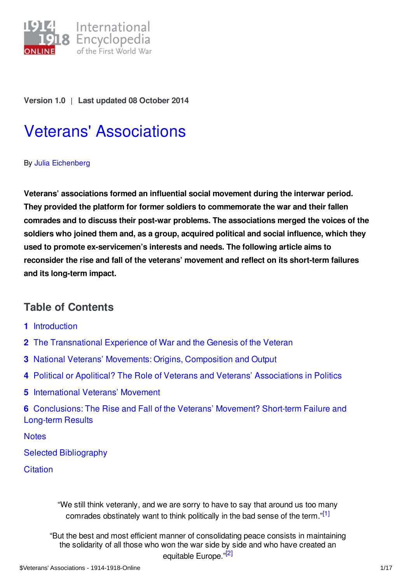

**Version 1.0** | **Last updated 08 October 2014**

# Veterans' [Associations](https://encyclopedia.1914-1918-online.net/article/veterans_associations)

#### By Julia [Eichenberg](https://encyclopedia.1914-1918-online.net/contributors/Julia_Eichenberg)

**Veterans' associations formed an influential social movement during the interwar period. They provided the platform for former soldiers to commemorate the war and their fallen comrades and to discuss their post-war problems. The associations merged the voices of the soldiers who joined them and, as a group, acquired political and social influence, which they used to promote ex-servicemen's interests and needs. The following article aims to reconsider the rise and fall of the veterans' movement and reflect on its short-term failures and its long-term impact.**

## **Table of Contents**

- **1** [Introduction](#page-1-0)
- **2** The [Transnational](#page-1-1) Experience of War and the Genesis of the Veteran
- **3** National Veterans' Movements: Origins, [Composition](#page-4-0) and Output
- **4** Political or Apolitical? The Role of Veterans and Veterans' [Associations](#page-6-0) in Politics
- **5** [International](#page-9-0) Veterans' Movement
- **6** [Conclusions:](#page-11-0) The Rise and Fall of the Veterans' Movement? Short-term Failure and Long-term Results

**[Notes](#page-12-0)** 

Selected [Bibliography](#page-15-0)

**[Citation](#page-16-0)** 

<span id="page-0-1"></span><span id="page-0-0"></span>"We still think veteranly, and we are sorry to have to say that around us too many comrades obstinately want to think politically in the bad sense of the term."<sup>[\[1\]](#page-12-1)</sup>

"But the best and most efficient manner of consolidating peace consists in maintaining the solidarity of all those who won the war side by side and who have created an equitable Europe."<sup>[\[2\]](#page-12-2)</sup>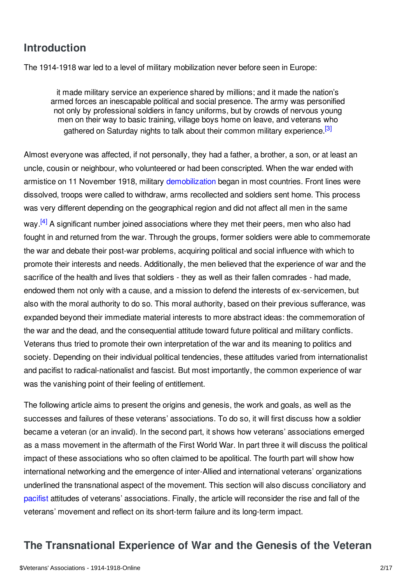# <span id="page-1-0"></span>**Introduction**

The 1914-1918 war led to a level of military mobilization never before seen in Europe:

<span id="page-1-2"></span>it made military service an experience shared by millions; and it made the nation's armed forces an inescapable political and social presence. The army was personified not only by professional soldiers in fancy uniforms, but by crowds of nervous young men on their way to basic training, village boys home on leave, and veterans who gathered on Saturday nights to talk about their common military experience.<sup>[\[3\]](#page-12-3)</sup>

Almost everyone was affected, if not personally, they had a father, a brother, a son, or at least an uncle, cousin or neighbour, who volunteered or had been conscripted. When the war ended with armistice on 11 November 1918, military [demobilization](/article/demobilization) began in most countries. Front lines were dissolved, troops were called to withdraw, arms recollected and soldiers sent home. This process was very different depending on the geographical region and did not affect all men in the same

<span id="page-1-3"></span>way.<sup>[\[4\]](#page-13-0)</sup> A significant number joined associations where they met their peers, men who also had fought in and returned from the war. Through the groups, former soldiers were able to commemorate the war and debate their post-war problems, acquiring political and social influence with which to promote their interests and needs. Additionally, the men believed that the experience of war and the sacrifice of the health and lives that soldiers - they as well as their fallen comrades - had made, endowed them not only with a cause, and a mission to defend the interests of ex-servicemen, but also with the moral authority to do so. This moral authority, based on their previous sufferance, was expanded beyond their immediate material interests to more abstract ideas: the commemoration of the war and the dead, and the consequential attitude toward future political and military conflicts. Veterans thus tried to promote their own interpretation of the war and its meaning to politics and society. Depending on their individual political tendencies, these attitudes varied from internationalist and pacifist to radical-nationalist and fascist. But most importantly, the common experience of war was the vanishing point of their feeling of entitlement.

The following article aims to present the origins and genesis, the work and goals, as well as the successes and failures of these veterans' associations. To do so, it will first discuss how a soldier became a veteran (or an invalid). In the second part, it shows how veterans' associations emerged as a mass movement in the aftermath of the First World War. In part three it will discuss the political impact of these associations who so often claimed to be apolitical. The fourth part will show how international networking and the emergence of inter-Allied and international veterans' organizations underlined the transnational aspect of the movement. This section will also discuss conciliatory and [pacifist](/article/pacifism) attitudes of veterans' associations. Finally, the article will reconsider the rise and fall of the veterans' movement and reflect on its short-term failure and its long-term impact.

# <span id="page-1-1"></span>**The Transnational Experience of War and the Genesis of the Veteran**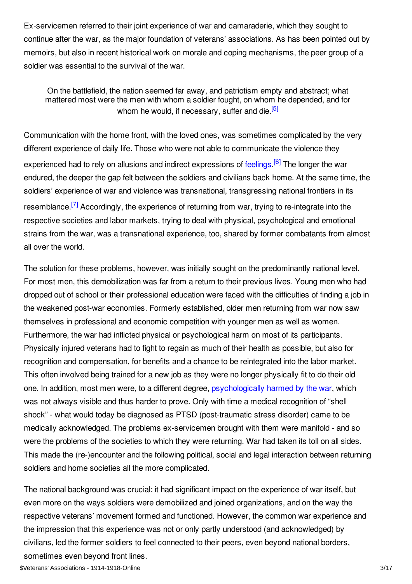Ex-servicemen referred to their joint experience of war and camaraderie, which they sought to continue after the war, as the major foundation of veterans' associations. As has been pointed out by memoirs, but also in recent historical work on morale and coping mechanisms, the peer group of a soldier was essential to the survival of the war.

<span id="page-2-1"></span><span id="page-2-0"></span>On the battlefield, the nation seemed far away, and patriotism empty and abstract; what mattered most were the men with whom a soldier fought, on whom he depended, and for whom he would, if necessary, suffer and die.<sup>[\[5\]](#page-13-1)</sup>

Communication with the home front, with the loved ones, was sometimes complicated by the very different experience of daily life. Those who were not able to communicate the violence they experienced had to rely on allusions and indirect expressions of [feelings](/article/wartime_emotions_honour_shame_and_the_ecstasy_of_sacrifice).<sup>[\[6\]](#page-13-2)</sup> The longer the war endured, the deeper the gap felt between the soldiers and civilians back home. At the same time, the soldiers' experience of war and violence was transnational, transgressing national frontiers in its resemblance.<sup>[\[7\]](#page-13-3)</sup> Accordingly, the experience of returning from war, trying to re-integrate into the respective societies and labor markets, trying to deal with physical, psychological and emotional strains from the war, was a transnational experience, too, shared by former combatants from almost all over the world.

<span id="page-2-2"></span>The solution for these problems, however, was initially sought on the predominantly national level. For most men, this demobilization was far from a return to their previous lives. Young men who had dropped out of school or their professional education were faced with the difficulties of finding a job in the weakened post-war economies. Formerly established, older men returning from war now saw themselves in professional and economic competition with younger men as well as women. Furthermore, the war had inflicted physical or psychological harm on most of its participants. Physically injured veterans had to fight to regain as much of their health as possible, but also for recognition and compensation, for benefits and a chance to be reintegrated into the labor market. This often involved being trained for a new job as they were no longer physically fit to do their old one. In addition, most men were, to a different degree, [psychologically](/article/war_psychiatry_and_shell_shock) harmed by the war, which was not always visible and thus harder to prove. Only with time a medical recognition of "shell shock" - what would today be diagnosed as PTSD (post-traumatic stress disorder) came to be medically acknowledged. The problems ex-servicemen brought with them were manifold - and so were the problems of the societies to which they were returning. War had taken its toll on all sides. This made the (re-)encounter and the following political, social and legal interaction between returning soldiers and home societies all the more complicated.

The national background was crucial: it had significant impact on the experience of war itself, but even more on the ways soldiers were demobilized and joined organizations, and on the way the respective veterans' movement formed and functioned. However, the common war experience and the impression that this experience was not or only partly understood (and acknowledged) by civilians, led the former soldiers to feel connected to their peers, even beyond national borders, sometimes even beyond front lines.

\$Veterans' Associations - 1914-1918-Online 3/17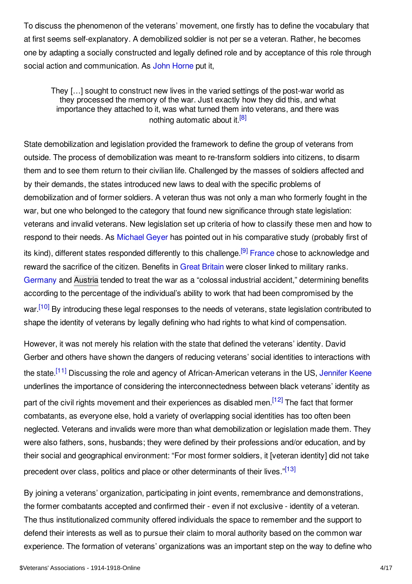To discuss the phenomenon of the veterans' movement, one firstly has to define the vocabulary that at first seems self-explanatory. A demobilized soldier is not per se a veteran. Rather, he becomes one by adapting a socially constructed and legally defined role and by acceptance of this role through social action and communication. As John [Horne](/contributors/John_Horne) put it,

<span id="page-3-0"></span>They […] sought to construct new lives in the varied settings of the post-war world as they processed the memory of the war. Just exactly how they did this, and what importance they attached to it, was what turned them into veterans, and there was nothing automatic about it.<sup>[\[8\]](#page-13-4)</sup>

State demobilization and legislation provided the framework to define the group of veterans from outside. The process of demobilization was meant to re-transform soldiers into citizens, to disarm them and to see them return to their civilian life. Challenged by the masses of soldiers affected and by their demands, the states introduced new laws to deal with the specific problems of demobilization and of former soldiers. A veteran thus was not only a man who formerly fought in the war, but one who belonged to the category that found new significance through state legislation: veterans and invalid veterans. New legislation set up criteria of how to classify these men and how to respond to their needs. As [Michael](/contributors/Michael_Geyer) Geyer has pointed out in his comparative study (probably first of its kind), different states responded differently to this challenge.<sup>[\[9\]](#page-13-5)</sup> [France](/article/france) chose to acknowledge and reward the sacrifice of the citizen. Benefits in Great [Britain](/article/great_britain) were closer linked to military ranks. [Germany](/article/germany) and [Austria](/article/austria-hungary) tended to treat the war as a "colossal industrial accident," determining benefits according to the percentage of the individual's ability to work that had been compromised by the war.<sup>[\[10\]](#page-13-6)</sup> By introducing these legal responses to the needs of veterans, state legislation contributed to shape the identity of veterans by legally defining who had rights to what kind of compensation.

<span id="page-3-4"></span><span id="page-3-3"></span><span id="page-3-2"></span><span id="page-3-1"></span>However, it was not merely his relation with the state that defined the veterans' identity. David Gerber and others have shown the dangers of reducing veterans' social identities to interactions with the state.<sup>[\[11\]](#page-13-7)</sup> Discussing the role and agency of African-American veterans in the US, [Jennifer](/contributors/Jennifer_D._Keene) Keene underlines the importance of considering the interconnectedness between black veterans' identity as part of the civil rights movement and their experiences as disabled men.<sup>[\[12\]](#page-13-8)</sup> The fact that former combatants, as everyone else, hold a variety of overlapping social identities has too often been neglected. Veterans and invalids were more than what demobilization or legislation made them. They were also fathers, sons, husbands; they were defined by their professions and/or education, and by their social and geographical environment: "For most former soldiers, it [veteran identity] did not take precedent over class, politics and place or other determinants of their lives."<sup>[\[13\]](#page-13-9)</sup>

<span id="page-3-5"></span>By joining a veterans' organization, participating in joint events, remembrance and demonstrations, the former combatants accepted and confirmed their - even if not exclusive - identity of a veteran. The thus institutionalized community offered individuals the space to remember and the support to defend their interests as well as to pursue their claim to moral authority based on the common war experience. The formation of veterans' organizations was an important step on the way to define who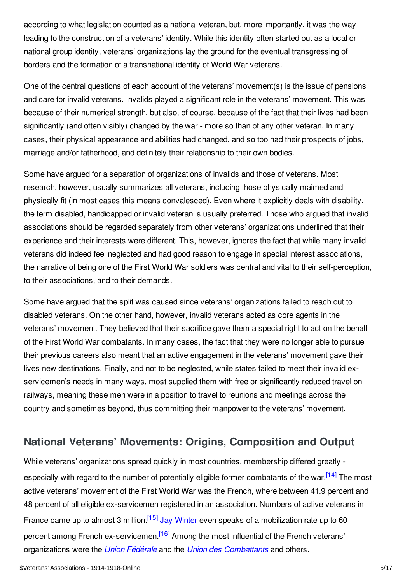according to what legislation counted as a national veteran, but, more importantly, it was the way leading to the construction of a veterans' identity. While this identity often started out as a local or national group identity, veterans' organizations lay the ground for the eventual transgressing of borders and the formation of a transnational identity of World War veterans.

One of the central questions of each account of the veterans' movement(s) is the issue of pensions and care for invalid veterans. Invalids played a significant role in the veterans' movement. This was because of their numerical strength, but also, of course, because of the fact that their lives had been significantly (and often visibly) changed by the war - more so than of any other veteran. In many cases, their physical appearance and abilities had changed, and so too had their prospects of jobs, marriage and/or fatherhood, and definitely their relationship to their own bodies.

Some have argued for a separation of organizations of invalids and those of veterans. Most research, however, usually summarizes all veterans, including those physically maimed and physically fit (in most cases this means convalesced). Even where it explicitly deals with disability, the term disabled, handicapped or invalid veteran is usually preferred. Those who argued that invalid associations should be regarded separately from other veterans' organizations underlined that their experience and their interests were different. This, however, ignores the fact that while many invalid veterans did indeed feel neglected and had good reason to engage in special interest associations, the narrative of being one of the First World War soldiers was central and vital to their self-perception, to their associations, and to their demands.

Some have argued that the split was caused since veterans' organizations failed to reach out to disabled veterans. On the other hand, however, invalid veterans acted as core agents in the veterans' movement. They believed that their sacrifice gave them a special right to act on the behalf of the First World War combatants. In many cases, the fact that they were no longer able to pursue their previous careers also meant that an active engagement in the veterans' movement gave their lives new destinations. Finally, and not to be neglected, while states failed to meet their invalid exservicemen's needs in many ways, most supplied them with free or significantly reduced travel on railways, meaning these men were in a position to travel to reunions and meetings across the country and sometimes beyond, thus committing their manpower to the veterans' movement.

# <span id="page-4-0"></span>**National Veterans' Movements: Origins, Composition and Output**

<span id="page-4-3"></span><span id="page-4-2"></span><span id="page-4-1"></span>While veterans' organizations spread quickly in most countries, membership differed greatly - especially with regard to the number of potentially eligible former combatants of the war.<sup>[\[14\]](#page-13-10)</sup> The most active veterans' movement of the First World War was the French, where between 41.9 percent and 48 percent of all eligible ex-servicemen registered in an association. Numbers of active veterans in France came up to almost 3 million.<sup>[\[15\]](#page-13-11)</sup> Jay [Winter](/contributors/Jay_Winter) even speaks of a mobilization rate up to 60 percent among French ex-servicemen.<sup>[\[16\]](#page-13-12)</sup> Among the most influential of the French veterans' organizations were the *Union [Fédérale](/article/union_federale_uf)* and the *Union des [Combattants](/article/union_nationale_des_combattants_unc)* and others.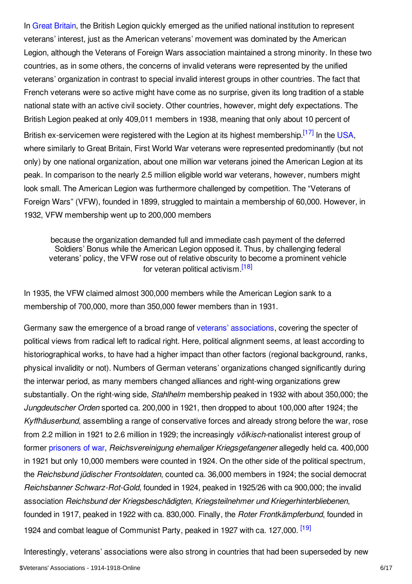In Great [Britain](/article/veterans_associations_great_britain_and_ireland), the British Legion quickly emerged as the unified national institution to represent veterans' interest, just as the American veterans' movement was dominated by the American Legion, although the Veterans of Foreign Wars association maintained a strong minority. In these two countries, as in some others, the concerns of invalid veterans were represented by the unified veterans' organization in contrast to special invalid interest groups in other countries. The fact that French veterans were so active might have come as no surprise, given its long tradition of a stable national state with an active civil society. Other countries, however, might defy expectations. The British Legion peaked at only 409,011 members in 1938, meaning that only about 10 percent of British ex-servicemen were registered with the Legion at its highest membership.<sup>[\[17\]](#page-13-13)</sup> In the [USA](/article/united_states_of_america), where similarly to Great Britain, First World War veterans were represented predominantly (but not only) by one national organization, about one million war veterans joined the American Legion at its peak. In comparison to the nearly 2.5 million eligible world war veterans, however, numbers might look small. The American Legion was furthermore challenged by competition. The "Veterans of Foreign Wars" (VFW), founded in 1899, struggled to maintain a membership of 60,000. However, in 1932, VFW membership went up to 200,000 members

<span id="page-5-1"></span><span id="page-5-0"></span>because the organization demanded full and immediate cash payment of the deferred Soldiers' Bonus while the American Legion opposed it. Thus, by challenging federal veterans' policy, the VFW rose out of relative obscurity to become a prominent vehicle for veteran political activism.<sup>[\[18\]](#page-13-14)</sup>

In 1935, the VFW claimed almost 300,000 members while the American Legion sank to a membership of 700,000, more than 350,000 fewer members than in 1931.

Germany saw the emergence of a broad range of veterans' [associations](/article/veterans_organisations_germany), covering the specter of political views from radical left to radical right. Here, political alignment seems, at least according to historiographical works, to have had a higher impact than other factors (regional background, ranks, physical invalidity or not). Numbers of German veterans' organizations changed significantly during the interwar period, as many members changed alliances and right-wing organizations grew substantially. On the right-wing side, *Stahlhelm* membership peaked in 1932 with about 350,000; the *Jungdeutscher Orden* sported ca. 200,000 in 1921, then dropped to about 100,000 after 1924; the *Kyffhäuserbund*, assembling a range of conservative forces and already strong before the war, rose from 2.2 million in 1921 to 2.6 million in 1929; the increasingly *völkisch-*nationalist interest group of former [prisoners](/article/prisoners_of_war_germany) of war, *Reichsvereinigung ehemaliger Kriegsgefangener* allegedly held ca. 400,000 in 1921 but only 10,000 members were counted in 1924. On the other side of the political spectrum, the *Reichsbund jüdischer Frontsoldaten*, counted ca. 36,000 members in 1924; the social democrat *Reichsbanner Schwarz-Rot-Gold*, founded in 1924, peaked in 1925/26 with ca 900,000; the invalid association *Reichsbund der Kriegsbeschädigten*, *Kriegsteilnehmer und Kriegerhinterbliebenen*, founded in 1917, peaked in 1922 with ca. 830,000. Finally, the *Roter Frontkämpferbund*, founded in 1924 and combat league of Communist Party, peaked in 1927 with ca. 127,000. [<sup>19]</sup>

<span id="page-5-2"></span>Interestingly, veterans' associations were also strong in countries that had been superseded by new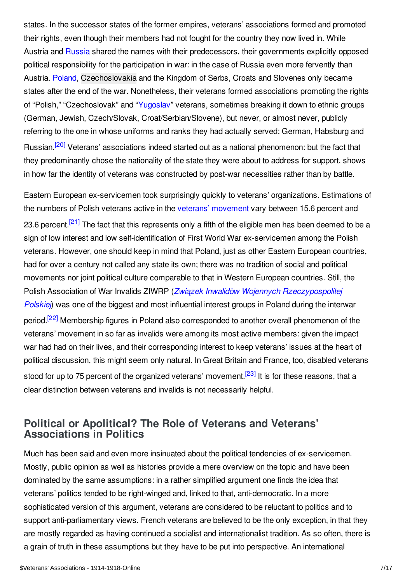states. In the successor states of the former empires, veterans' associations formed and promoted their rights, even though their members had not fought for the country they now lived in. While Austria and [Russia](/article/russian_empire) shared the names with their predecessors, their governments explicitly opposed political responsibility for the participation in war: in the case of Russia even more fervently than Austria. [Poland](/article/poland), [Czechoslovakia](/article/czechoslovakia) and the Kingdom of Serbs, Croats and Slovenes only became states after the end of the war. Nonetheless, their veterans formed associations promoting the rights of "Polish," "Czechoslovak" and ["Yugoslav](/article/yugoslavia)" veterans, sometimes breaking it down to ethnic groups (German, Jewish, Czech/Slovak, Croat/Serbian/Slovene), but never, or almost never, publicly referring to the one in whose uniforms and ranks they had actually served: German, Habsburg and Russian.<sup>[\[20\]](#page-14-1)</sup> Veterans' associations indeed started out as a national phenomenon: but the fact that they predominantly chose the nationality of the state they were about to address for support, shows in how far the identity of veterans was constructed by post-war necessities rather than by battle.

<span id="page-6-2"></span><span id="page-6-1"></span>Eastern European ex-servicemen took surprisingly quickly to veterans' organizations. Estimations of the numbers of Polish veterans active in the veterans' [movement](/article/polish_legionaries_union) vary between 15.6 percent and 23.6 percent.<sup>[\[21\]](#page-14-2)</sup> The fact that this represents only a fifth of the eligible men has been deemed to be a sign of low interest and low self-identification of First World War ex-servicemen among the Polish veterans. However, one should keep in mind that Poland, just as other Eastern European countries, had for over a century not called any state its own; there was no tradition of social and political movements nor joint political culture comparable to that in Western European countries. Still, the Polish Association of War Invalids ZIWRP (*Związek Inwalidòw Wojennych [Rzeczypospolitej](/article/polish_legionaries_union) Polskiej*) was one of the biggest and most influential interest groups in Poland during the interwar period.<sup>[\[22\]](#page-14-3)</sup> Membership figures in Poland also corresponded to another overall phenomenon of the veterans' movement in so far as invalids were among its most active members: given the impact war had had on their lives, and their corresponding interest to keep veterans' issues at the heart of political discussion, this might seem only natural. In Great Britain and France, too, disabled veterans stood for up to 75 percent of the organized veterans' movement.<sup>[\[23\]](#page-14-4)</sup> It is for these reasons, that a clear distinction between veterans and invalids is not necessarily helpful.

## <span id="page-6-4"></span><span id="page-6-3"></span><span id="page-6-0"></span>**Political or Apolitical? The Role of Veterans and Veterans' Associations in Politics**

Much has been said and even more insinuated about the political tendencies of ex-servicemen. Mostly, public opinion as well as histories provide a mere overview on the topic and have been dominated by the same assumptions: in a rather simplified argument one finds the idea that veterans' politics tended to be right-winged and, linked to that, anti-democratic. In a more sophisticated version of this argument, veterans are considered to be reluctant to politics and to support anti-parliamentary views. French veterans are believed to be the only exception, in that they are mostly regarded as having continued a socialist and internationalist tradition. As so often, there is a grain of truth in these assumptions but they have to be put into perspective. An international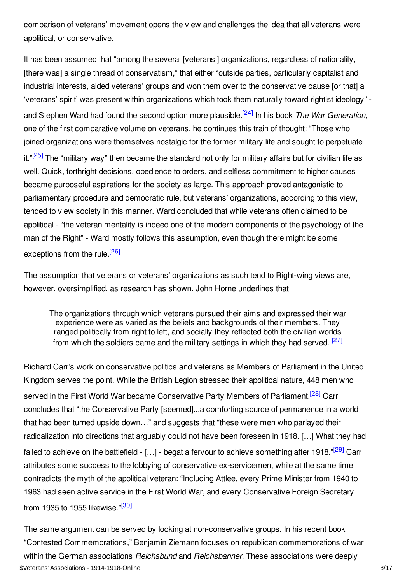comparison of veterans' movement opens the view and challenges the idea that all veterans were apolitical, or conservative.

<span id="page-7-1"></span><span id="page-7-0"></span>It has been assumed that "among the several [veterans'] organizations, regardless of nationality, [there was] a single thread of conservatism," that either "outside parties, particularly capitalist and industrial interests, aided veterans' groups and won them over to the conservative cause [or that] a 'veterans' spirit' was present within organizations which took them naturally toward rightist ideology" and Stephen Ward had found the second option more plausible. [\[24\]](#page-14-5) In his book *The War Generation*, one of the first comparative volume on veterans, he continues this train of thought: "Those who joined organizations were themselves nostalgic for the former military life and sought to perpetuate it."<sup>[\[25\]](#page-14-6)</sup> The "military way" then became the standard not only for military affairs but for civilian life as well. Quick, forthright decisions, obedience to orders, and selfless commitment to higher causes became purposeful aspirations for the society as large. This approach proved antagonistic to parliamentary procedure and democratic rule, but veterans' organizations, according to this view, tended to view society in this manner. Ward concluded that while veterans often claimed to be apolitical - "the veteran mentality is indeed one of the modern components of the psychology of the man of the Right" - Ward mostly follows this assumption, even though there might be some exceptions from the rule.<sup>[\[26\]](#page-14-7)</sup>

The assumption that veterans or veterans' organizations as such tend to Right-wing views are, however, oversimplified, as research has shown. John Horne underlines that

<span id="page-7-5"></span><span id="page-7-4"></span><span id="page-7-3"></span><span id="page-7-2"></span>The organizations through which veterans pursued their aims and expressed their war experience were as varied as the beliefs and backgrounds of their members. They ranged politically from right to left, and socially they reflected both the civilian worlds from which the soldiers came and the military settings in which they had served. <sup>[\[27\]](#page-14-8)</sup>

Richard Carr's work on conservative politics and veterans as Members of Parliament in the United Kingdom serves the point. While the British Legion stressed their apolitical nature, 448 men who served in the First World War became Conservative Party Members of Parliament.<sup>[\[28\]](#page-14-9)</sup> Carr concludes that "the Conservative Party [seemed]...a comforting source of permanence in a world that had been turned upside down…" and suggests that "these were men who parlayed their radicalization into directions that arguably could not have been foreseen in 1918. […] What they had failed to achieve on the battlefield - [...] - begat a fervour to achieve something after 1918."<sup>[\[29\]](#page-14-10)</sup> Carr attributes some success to the lobbying of conservative ex-servicemen, while at the same time contradicts the myth of the apolitical veteran: "Including Attlee, every Prime Minister from 1940 to 1963 had seen active service in the First World War, and every Conservative Foreign Secretary from 1935 to 1955 likewise."<sup>[\[30\]](#page-14-11)</sup>

<span id="page-7-6"></span>The same argument can be served by looking at non-conservative groups. In his recent book "Contested Commemorations," Benjamin Ziemann focuses on republican commemorations of war within the German associations *Reichsbund* and *Reichsbanner*. These associations were deeply \$Veterans' Associations - 1914-1918-Online 8/17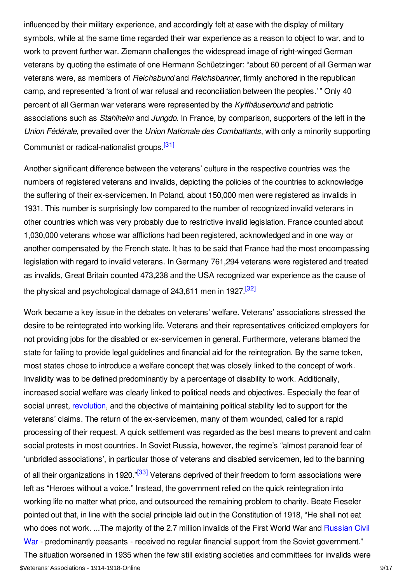influenced by their military experience, and accordingly felt at ease with the display of military symbols, while at the same time regarded their war experience as a reason to object to war, and to work to prevent further war. Ziemann challenges the widespread image of right-winged German veterans by quoting the estimate of one Hermann Schüetzinger: "about 60 percent of all German war veterans were, as members of *Reichsbund* and *Reichsbanner*, firmly anchored in the republican camp, and represented 'a front of war refusal and reconciliation between the peoples.' " Only 40 percent of all German war veterans were represented by the *Kyffhäuserbund* and patriotic associations such as *Stahlhelm* and *Jungdo*. In France, by comparison, supporters of the left in the *Union Fédérale*, prevailed over the *Union Nationale des Combattants*, with only a minority supporting Communist or radical-nationalist groups.<sup>[\[31\]](#page-14-12)</sup>

<span id="page-8-0"></span>Another significant difference between the veterans' culture in the respective countries was the numbers of registered veterans and invalids, depicting the policies of the countries to acknowledge the suffering of their ex-servicemen. In Poland, about 150,000 men were registered as invalids in 1931. This number is surprisingly low compared to the number of recognized invalid veterans in other countries which was very probably due to restrictive invalid legislation. France counted about 1,030,000 veterans whose war afflictions had been registered, acknowledged and in one way or another compensated by the French state. It has to be said that France had the most encompassing legislation with regard to invalid veterans. In Germany 761,294 veterans were registered and treated as invalids, Great Britain counted 473,238 and the USA recognized war experience as the cause of the physical and psychological damage of 243,611 men in 1927.<sup>[\[32\]](#page-14-13)</sup>

<span id="page-8-2"></span><span id="page-8-1"></span>Work became a key issue in the debates on veterans' welfare. Veterans' associations stressed the desire to be reintegrated into working life. Veterans and their representatives criticized employers for not providing jobs for the disabled or ex-servicemen in general. Furthermore, veterans blamed the state for failing to provide legal guidelines and financial aid for the reintegration. By the same token, most states chose to introduce a welfare concept that was closely linked to the concept of work. Invalidity was to be defined predominantly by a percentage of disability to work. Additionally, increased social welfare was clearly linked to political needs and objectives. Especially the fear of social unrest, [revolution](/article/revolutions), and the objective of maintaining political stability led to support for the veterans' claims. The return of the ex-servicemen, many of them wounded, called for a rapid processing of their request. A quick settlement was regarded as the best means to prevent and calm social protests in most countries. In Soviet Russia, however, the regime's "almost paranoid fear of 'unbridled associations', in particular those of veterans and disabled servicemen, led to the banning of all their organizations in 1920."<sup>[\[33\]](#page-14-14)</sup> Veterans deprived of their freedom to form associations were left as "Heroes without a voice." Instead, the government relied on the quick reintegration into working life no matter what price, and outsourced the remaining problem to charity. Beate Fieseler pointed out that, in line with the social principle laid out in the Constitution of 1918, "He shall not eat who does not work. ...The majority of the 2.7 million invalids of the First World War and Russian Civil War - [predominantly](/article/international_responses_to_the_russian_civil_war_russian_empire) peasants - received no regular financial support from the Soviet government." The situation worsened in 1935 when the few still existing societies and committees for invalids were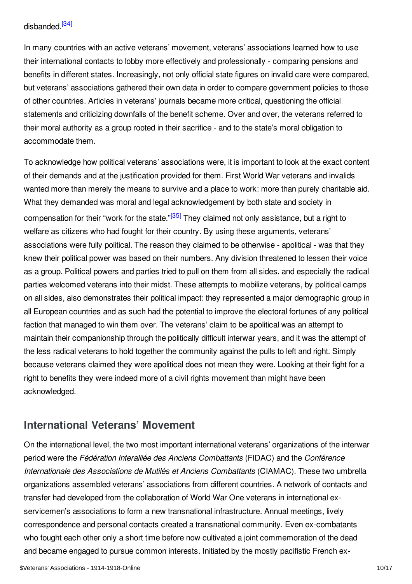## <span id="page-9-1"></span>disbanded.<sup>[\[34\]](#page-14-15)</sup>

In many countries with an active veterans' movement, veterans' associations learned how to use their international contacts to lobby more effectively and professionally - comparing pensions and benefits in different states. Increasingly, not only official state figures on invalid care were compared, but veterans' associations gathered their own data in order to compare government policies to those of other countries. Articles in veterans' journals became more critical, questioning the official statements and criticizing downfalls of the benefit scheme. Over and over, the veterans referred to their moral authority as a group rooted in their sacrifice - and to the state's moral obligation to accommodate them.

<span id="page-9-2"></span>To acknowledge how political veterans' associations were, it is important to look at the exact content of their demands and at the justification provided for them. First World War veterans and invalids wanted more than merely the means to survive and a place to work: more than purely charitable aid. What they demanded was moral and legal acknowledgement by both state and society in compensation for their "work for the state."<sup>[\[35\]](#page-14-16)</sup> They claimed not only assistance, but a right to welfare as citizens who had fought for their country. By using these arguments, veterans' associations were fully political. The reason they claimed to be otherwise - apolitical - was that they knew their political power was based on their numbers. Any division threatened to lessen their voice as a group. Political powers and parties tried to pull on them from all sides, and especially the radical parties welcomed veterans into their midst. These attempts to mobilize veterans, by political camps on all sides, also demonstrates their political impact: they represented a major demographic group in all European countries and as such had the potential to improve the electoral fortunes of any political faction that managed to win them over. The veterans' claim to be apolitical was an attempt to maintain their companionship through the politically difficult interwar years, and it was the attempt of the less radical veterans to hold together the community against the pulls to left and right. Simply because veterans claimed they were apolitical does not mean they were. Looking at their fight for a right to benefits they were indeed more of a civil rights movement than might have been acknowledged.

## <span id="page-9-0"></span>**International Veterans' Movement**

On the international level, the two most important international veterans' organizations of the interwar period were the *Fédération Interalliée des Anciens Combattants* (FIDAC) and the *Conférence Internationale des Associations de Mutilés et Anciens Combattants* (CIAMAC). These two umbrella organizations assembled veterans' associations from different countries. A network of contacts and transfer had developed from the collaboration of World War One veterans in international exservicemen's associations to form a new transnational infrastructure. Annual meetings, lively correspondence and personal contacts created a transnational community. Even ex-combatants who fought each other only a short time before now cultivated a joint commemoration of the dead and became engaged to pursue common interests. Initiated by the mostly pacifistic French ex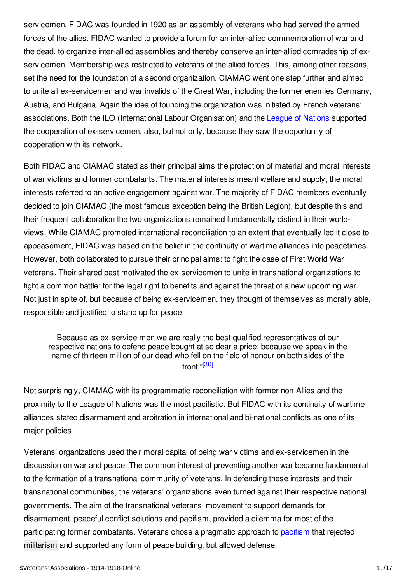servicemen, FIDAC was founded in 1920 as an assembly of veterans who had served the armed forces of the allies. FIDAC wanted to provide a forum for an inter-allied commemoration of war and the dead, to organize inter-allied assemblies and thereby conserve an inter-allied comradeship of exservicemen. Membership was restricted to veterans of the allied forces. This, among other reasons, set the need for the foundation of a second organization. CIAMAC went one step further and aimed to unite all ex-servicemen and war invalids of the Great War, including the former enemies Germany, Austria, and Bulgaria. Again the idea of founding the organization was initiated by French veterans' associations. Both the ILO (International Labour Organisation) and the League of [Nations](/article/league_of_nations) supported the cooperation of ex-servicemen, also, but not only, because they saw the opportunity of cooperation with its network.

Both FIDAC and CIAMAC stated as their principal aims the protection of material and moral interests of war victims and former combatants. The material interests meant welfare and supply, the moral interests referred to an active engagement against war. The majority of FIDAC members eventually decided to join CIAMAC (the most famous exception being the British Legion), but despite this and their frequent collaboration the two organizations remained fundamentally distinct in their worldviews. While CIAMAC promoted international reconciliation to an extent that eventually led it close to appeasement, FIDAC was based on the belief in the continuity of wartime alliances into peacetimes. However, both collaborated to pursue their principal aims: to fight the case of First World War veterans. Their shared past motivated the ex-servicemen to unite in transnational organizations to fight a common battle: for the legal right to benefits and against the threat of a new upcoming war. Not just in spite of, but because of being ex-servicemen, they thought of themselves as morally able, responsible and justified to stand up for peace:

<span id="page-10-0"></span>Because as ex-service men we are really the best qualified representatives of our respective nations to defend peace bought at so dear a price; because we speak in the name of thirteen million of our dead who fell on the field of honour on both sides of the front." [\[36\]](#page-14-17)

Not surprisingly, CIAMAC with its programmatic reconciliation with former non-Allies and the proximity to the League of Nations was the most pacifistic. But FIDAC with its continuity of wartime alliances stated disarmament and arbitration in international and bi-national conflicts as one of its major policies.

Veterans' organizations used their moral capital of being war victims and ex-servicemen in the discussion on war and peace. The common interest of preventing another war became fundamental to the formation of a transnational community of veterans. In defending these interests and their transnational communities, the veterans' organizations even turned against their respective national governments. The aim of the transnational veterans' movement to support demands for disarmament, peaceful conflict solutions and pacifism, provided a dilemma for most of the participating former combatants. Veterans chose a pragmatic approach to [pacifism](/article/pacifism) that rejected [militarism](/article/militarism) and supported any form of peace building, but allowed defense.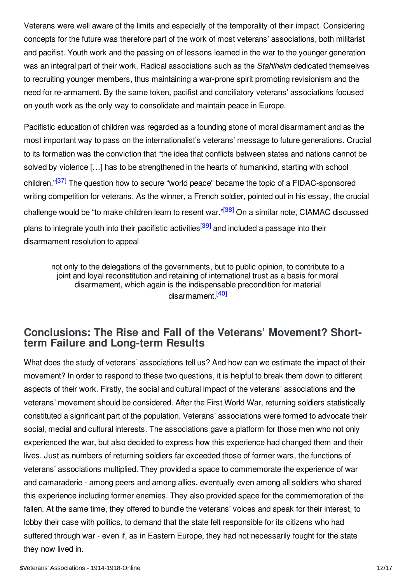Veterans were well aware of the limits and especially of the temporality of their impact. Considering concepts for the future was therefore part of the work of most veterans' associations, both militarist and pacifist. Youth work and the passing on of lessons learned in the war to the younger generation was an integral part of their work. Radical associations such as the *Stahlhelm* dedicated themselves to recruiting younger members, thus maintaining a war-prone spirit promoting revisionism and the need for re-armament. By the same token, pacifist and conciliatory veterans' associations focused on youth work as the only way to consolidate and maintain peace in Europe.

<span id="page-11-1"></span>Pacifistic education of children was regarded as a founding stone of moral disarmament and as the most important way to pass on the internationalist's veterans' message to future generations. Crucial to its formation was the conviction that "the idea that conflicts between states and nations cannot be solved by violence […] has to be strengthened in the hearts of humankind, starting with school children."<sup>[\[37\]](#page-14-18)</sup> The question how to secure "world peace" became the topic of a FIDAC-sponsored writing competition for veterans. As the winner, a French soldier, pointed out in his essay, the crucial challenge would be "to make children learn to resent war."<sup>[\[38\]](#page-15-1)</sup> On a similar note, CIAMAC discussed plans to integrate youth into their pacifistic activities<sup>[\[39\]](#page-15-2)</sup> and included a passage into their disarmament resolution to appeal

<span id="page-11-4"></span><span id="page-11-3"></span><span id="page-11-2"></span>not only to the delegations of the governments, but to public opinion, to contribute to a joint and loyal reconstitution and retaining of international trust as a basis for moral disarmament, which again is the indispensable precondition for material disarmament.<sup>[\[40\]](#page-15-3)</sup>

## <span id="page-11-0"></span>**Conclusions: The Rise and Fall of the Veterans' Movement? Shortterm Failure and Long-term Results**

What does the study of veterans' associations tell us? And how can we estimate the impact of their movement? In order to respond to these two questions, it is helpful to break them down to different aspects of their work. Firstly, the social and cultural impact of the veterans' associations and the veterans' movement should be considered. After the First World War, returning soldiers statistically constituted a significant part of the population. Veterans' associations were formed to advocate their social, medial and cultural interests. The associations gave a platform for those men who not only experienced the war, but also decided to express how this experience had changed them and their lives. Just as numbers of returning soldiers far exceeded those of former wars, the functions of veterans' associations multiplied. They provided a space to commemorate the experience of war and camaraderie - among peers and among allies, eventually even among all soldiers who shared this experience including former enemies. They also provided space for the commemoration of the fallen. At the same time, they offered to bundle the veterans' voices and speak for their interest, to lobby their case with politics, to demand that the state felt responsible for its citizens who had suffered through war - even if, as in Eastern Europe, they had not necessarily fought for the state they now lived in.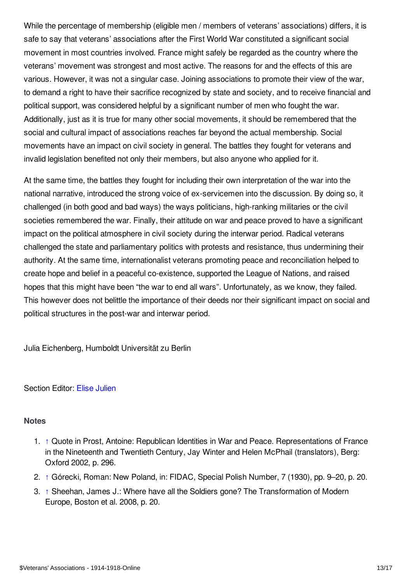While the percentage of membership (eligible men / members of veterans' associations) differs, it is safe to say that veterans' associations after the First World War constituted a significant social movement in most countries involved. France might safely be regarded as the country where the veterans' movement was strongest and most active. The reasons for and the effects of this are various. However, it was not a singular case. Joining associations to promote their view of the war, to demand a right to have their sacrifice recognized by state and society, and to receive financial and political support, was considered helpful by a significant number of men who fought the war. Additionally, just as it is true for many other social movements, it should be remembered that the social and cultural impact of associations reaches far beyond the actual membership. Social movements have an impact on civil society in general. The battles they fought for veterans and invalid legislation benefited not only their members, but also anyone who applied for it.

At the same time, the battles they fought for including their own interpretation of the war into the national narrative, introduced the strong voice of ex-servicemen into the discussion. By doing so, it challenged (in both good and bad ways) the ways politicians, high-ranking militaries or the civil societies remembered the war. Finally, their attitude on war and peace proved to have a significant impact on the political atmosphere in civil society during the interwar period. Radical veterans challenged the state and parliamentary politics with protests and resistance, thus undermining their authority. At the same time, internationalist veterans promoting peace and reconciliation helped to create hope and belief in a peaceful co-existence, supported the League of Nations, and raised hopes that this might have been "the war to end all wars". Unfortunately, as we know, they failed. This however does not belittle the importance of their deeds nor their significant impact on social and political structures in the post-war and interwar period.

Julia Eichenberg, Humboldt Universität zu Berlin

#### Section Editor: Elise [Julien](https://encyclopedia.1914-1918-online.net/contributors/Elise_Julien)

#### <span id="page-12-0"></span>**Notes**

- <span id="page-12-1"></span>1. [↑](#page-0-0) Quote in Prost, Antoine: Republican Identities in War and Peace. Representations of France in the Nineteenth and Twentieth Century, Jay Winter and Helen McPhail (translators), Berg: Oxford 2002, p. 296.
- <span id="page-12-2"></span>2. [↑](#page-0-1) Górecki, Roman: New Poland, in: FIDAC, Special Polish Number, 7 (1930), pp. 9–20, p. 20.
- <span id="page-12-3"></span>3. [↑](#page-1-2) Sheehan, James J.: Where have all the Soldiers gone? The Transformation of Modern Europe, Boston et al. 2008, p. 20.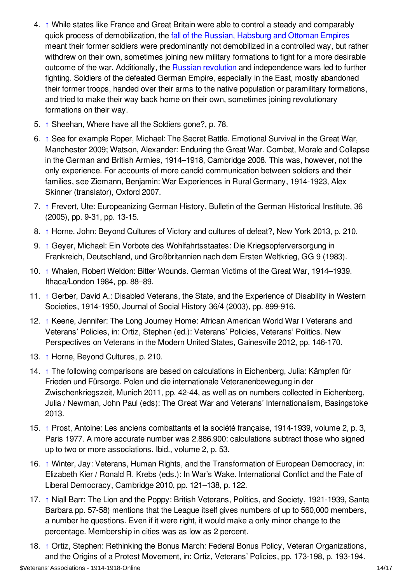- <span id="page-13-0"></span>4. [↑](#page-1-3) While states like France and Great Britain were able to control a steady and comparably quick process of demobilization, the fall of the Russian, [Habsburg](/article/crumbling_of_empires_and_emerging_states_czechoslovakia_and_yugoslavia_as_multinational_countries) and Ottoman Empires meant their former soldiers were predominantly not demobilized in a controlled way, but rather withdrew on their own, sometimes joining new military formations to fight for a more desirable outcome of the war. Additionally, the Russian [revolution](/article/revolutions_russian_empire) and independence wars led to further fighting. Soldiers of the defeated German Empire, especially in the East, mostly abandoned their former troops, handed over their arms to the native population or paramilitary formations, and tried to make their way back home on their own, sometimes joining revolutionary formations on their way.
- <span id="page-13-1"></span>5. [↑](#page-2-0) Sheehan, Where have all the Soldiers gone?, p. 78.
- <span id="page-13-2"></span>6. [↑](#page-2-1) See for example Roper, Michael: The Secret Battle. Emotional Survival in the Great War, Manchester 2009; Watson, Alexander: Enduring the Great War. Combat, Morale and Collapse in the German and British Armies, 1914–1918, Cambridge 2008. This was, however, not the only experience. For accounts of more candid communication between soldiers and their families, see Ziemann, Benjamin: War Experiences in Rural Germany, 1914-1923, Alex Skinner (translator), Oxford 2007.
- <span id="page-13-3"></span>7. [↑](#page-2-2) Frevert, Ute: Europeanizing German History, Bulletin of the German Historical Institute, 36 (2005), pp. 9-31, pp. 13-15.
- <span id="page-13-4"></span>8. [↑](#page-3-0) Horne, John: Beyond Cultures of Victory and cultures of defeat?, New York 2013, p. 210.
- <span id="page-13-5"></span>9. [↑](#page-3-1) Geyer, Michael: Ein Vorbote des Wohlfahrtsstaates: Die Kriegsopferversorgung in Frankreich, Deutschland, und Großbritannien nach dem Ersten Weltkrieg, GG 9 (1983).
- <span id="page-13-6"></span>10. [↑](#page-3-2) Whalen, Robert Weldon: Bitter Wounds. German Victims of the Great War, 1914–1939. Ithaca/London 1984, pp. 88–89.
- <span id="page-13-7"></span>11. [↑](#page-3-3) Gerber, David A.: Disabled Veterans, the State, and the Experience of Disability in Western Societies, 1914-1950, Journal of Social History 36/4 (2003), pp. 899-916.
- <span id="page-13-8"></span>12. [↑](#page-3-4) Keene, Jennifer: The Long Journey Home: African American World War I Veterans and Veterans' Policies, in: Ortiz, Stephen (ed.): Veterans' Policies, Veterans' Politics. New Perspectives on Veterans in the Modern United States, Gainesville 2012, pp. 146-170.
- <span id="page-13-9"></span>13. [↑](#page-3-5) Horne, Beyond Cultures, p. 210.
- <span id="page-13-10"></span>14. [↑](#page-4-1) The following comparisons are based on calculations in Eichenberg, Julia: Kämpfen für Frieden und Fürsorge. Polen und die internationale Veteranenbewegung in der Zwischenkriegszeit, Munich 2011, pp. 42-44, as well as on numbers collected in Eichenberg, Julia / Newman, John Paul (eds): The Great War and Veterans' Internationalism, Basingstoke 2013.
- <span id="page-13-11"></span>15. [↑](#page-4-2) Prost, Antoine: Les anciens combattants et la société française, 1914-1939, volume 2, p. 3, Paris 1977. A more accurate number was 2.886.900: calculations subtract those who signed up to two or more associations. Ibid., volume 2, p. 53.
- <span id="page-13-12"></span>16. [↑](#page-4-3) Winter, Jay: Veterans, Human Rights, and the Transformation of European Democracy, in: Elizabeth Kier / Ronald R. Krebs (eds.): In War's Wake. International Conflict and the Fate of Liberal Democracy, Cambridge 2010, pp. 121–138, p. 122.
- <span id="page-13-13"></span>17. [↑](#page-5-0) Niall Barr: The Lion and the Poppy: British Veterans, Politics, and Society, 1921-1939, Santa Barbara pp. 57-58) mentions that the League itself gives numbers of up to 560,000 members, a number he questions. Even if it were right, it would make a only minor change to the percentage. Membership in cities was as low as 2 percent.
- <span id="page-13-14"></span>18. [↑](#page-5-1) Ortiz, Stephen: Rethinking the Bonus March: Federal Bonus Policy, Veteran Organizations, and the Origins of a Protest Movement, in: Ortiz, Veterans' Policies, pp. 173-198, p. 193-194.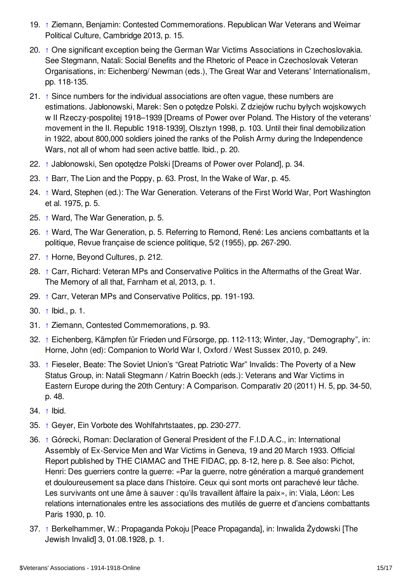- <span id="page-14-0"></span>19. [↑](#page-5-2) Ziemann, Benjamin: Contested Commemorations. Republican War Veterans and Weimar Political Culture, Cambridge 2013, p. 15.
- <span id="page-14-1"></span>20. [↑](#page-6-1) One significant exception being the German War Victims Associations in Czechoslovakia. See Stegmann, Natali: Social Benefits and the Rhetoric of Peace in Czechoslovak Veteran Organisations, in: Eichenberg/ Newman (eds.), The Great War and Veterans' Internationalism, pp. 118-135.
- <span id="page-14-2"></span>21. [↑](#page-6-2) Since numbers for the individual associations are often vague, these numbers are estimations. Jabłonowski, Marek: Sen o potędze Polski. Z dziejów ruchu byłych wojskowych w II Rzeczy-pospolitej 1918–1939 [Dreams of Power over Poland. The History of the veterans' movement in the II. Republic 1918-1939], Olsztyn 1998, p. 103. Until their final demobilization in 1922, about 800,000 soldiers joined the ranks of the Polish Army during the Independence Wars, not all of whom had seen active battle. Ibid., p. 20.
- <span id="page-14-3"></span>22. [↑](#page-6-3) Jabłonowski, Sen opotędze Polski [Dreams of Power over Poland], p. 34.
- <span id="page-14-4"></span>23. [↑](#page-6-4) Barr, The Lion and the Poppy, p. 63. Prost, In the Wake of War, p. 45.
- <span id="page-14-5"></span>24. [↑](#page-7-0) Ward, Stephen (ed.): The War Generation. Veterans of the First World War, Port Washington et al. 1975, p. 5.
- <span id="page-14-6"></span>25. [↑](#page-7-1) Ward, The War Generation, p. 5.
- <span id="page-14-7"></span>26. [↑](#page-7-2) Ward, The War Generation, p. 5. Referring to Remond, René: Les anciens combattants et la politique, Revue française de science politique, 5/2 (1955), pp. 267-290.
- <span id="page-14-8"></span>27. [↑](#page-7-3) Horne, Beyond Cultures, p. 212.
- <span id="page-14-9"></span>28. [↑](#page-7-4) Carr, Richard: Veteran MPs and Conservative Politics in the Aftermaths of the Great War. The Memory of all that, Farnham et al, 2013, p. 1.
- <span id="page-14-10"></span>29. [↑](#page-7-5) Carr, Veteran MPs and Conservative Politics, pp. 191-193.
- <span id="page-14-11"></span>30. [↑](#page-7-6) Ibid., p. 1.
- <span id="page-14-12"></span>31. [↑](#page-8-0) Ziemann, Contested Commemorations, p. 93.
- <span id="page-14-13"></span>32. [↑](#page-8-1) Eichenberg, Kämpfen für Frieden und Fürsorge, pp. 112-113; Winter, Jay, "Demography", in: Horne, John (ed): Companion to World War I, Oxford / West Sussex 2010, p. 249.
- <span id="page-14-14"></span>33. [↑](#page-8-2) Fieseler, Beate: The Soviet Union's "Great Patriotic War" Invalids: The Poverty of a New Status Group, in: Natali Stegmann / Katrin Boeckh (eds.): Veterans and War Victims in Eastern Europe during the 20th Century: A Comparison. Comparativ 20 (2011) H. 5, pp. 34-50, p. 48.
- <span id="page-14-15"></span>34. [↑](#page-9-1) Ibid.
- <span id="page-14-16"></span>35. [↑](#page-9-2) Geyer, Ein Vorbote des Wohlfahrtstaates, pp. 230-277.
- <span id="page-14-17"></span>36. [↑](#page-10-0) Górecki, Roman: Declaration of General President of the F.I.D.A.C., in: International Assembly of Ex-Service Men and War Victims in Geneva, 19 and 20 March 1933. Official Report published by THE CIAMAC and THE FIDAC, pp. 8-12, here p. 8. See also: Pichot, Henri: Des guerriers contre la guerre: «Par la guerre, notre génération a marqué grandement et douloureusement sa place dans l'histoire. Ceux qui sont morts ont parachevé leur tâche. Les survivants ont une âme à sauver : qu'ils travaillent àffaire la paix», in: Viala, Léon: Les relations internationales entre les associations des mutilés de guerre et d'anciens combattants Paris 1930, p. 10.
- <span id="page-14-18"></span>37. [↑](#page-11-1) Berkelhammer, W.: Propaganda Pokoju [Peace Propaganda], in: Inwalida Żydowski [The Jewish Invalid] 3, 01.08.1928, p. 1.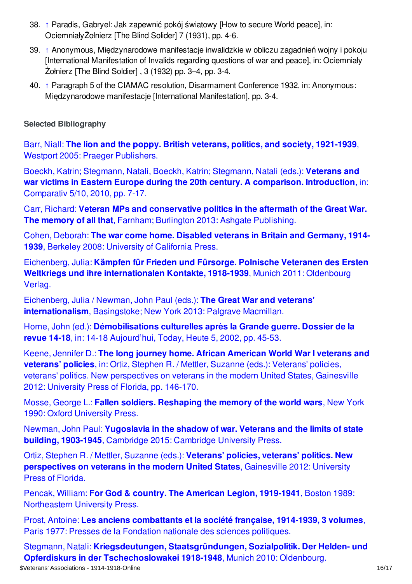- <span id="page-15-1"></span>38. [↑](#page-11-2) Paradis, Gabryel: Jak zapewnić pokój światowy [How to secure World peace], in: OciemniałyŻołnierz [The Blind Solider] 7 (1931), pp. 4-6.
- <span id="page-15-2"></span>39. [↑](#page-11-3) Anonymous, Międzynarodowe manifestacje inwalidzkie w obliczu zagadnień wojny i pokoju [International Manifestation of Invalids regarding questions of war and peace], in: Ociemniały Żołnierz [The Blind Soldier] , 3 (1932) pp. 3–4, pp. 3-4.
- <span id="page-15-3"></span>40. [↑](#page-11-4) Paragraph 5 of the CIAMAC resolution, Disarmament Conference 1932, in: Anonymous: Międzynarodowe manifestacje [International Manifestation], pp. 3-4.

## <span id="page-15-0"></span>**Selected Bibliography**

Barr, Niall: **The lion and the poppy. British veterans, politics, and society, 1921-1939**, Westport 2005: Praeger [Publishers.](https://encyclopedia.1914-1918-online.net/bibliography/PJT4RH28)

Boeckh, Katrin; Stegmann, Natali, Boeckh, Katrin; Stegmann, Natali (eds.): **Veterans and war victims in Eastern Europe during the 20th century. A [comparison.](https://encyclopedia.1914-1918-online.net/bibliography/FRNDNCCF) Introduction**, in: Comparativ 5/10, 2010, pp. 7-17.

Carr, Richard: **Veteran MPs and [conservative](https://encyclopedia.1914-1918-online.net/bibliography/A3IA4XX8) politics in the aftermath of the Great War. The memory of all that**, Farnham; Burlington 2013: Ashgate Publishing.

Cohen, Deborah: **The war come home. Disabled veterans in Britain and [Germany,](https://encyclopedia.1914-1918-online.net/bibliography/B9NW6RA7) 1914- 1939**, Berkeley 2008: University of California Press.

Eichenberg, Julia: **Kämpfen für Frieden und Fürsorge. Polnische Veteranen des Ersten Weltkriegs und ihre [internationalen](https://encyclopedia.1914-1918-online.net/bibliography/P6ZM5272) Kontakte, 1918-1939**, Munich 2011: Oldenbourg Verlag.

Eichenberg, Julia / Newman, John Paul (eds.): **The Great War and veterans' [internationalism](https://encyclopedia.1914-1918-online.net/bibliography/WMX2K8MJ)**, Basingstoke; New York 2013: Palgrave Macmillan.

Horne, John (ed.): **[Démobilisations](https://encyclopedia.1914-1918-online.net/bibliography/M84NSZ7I) culturelles après la Grande guerre. Dossier de la revue 14-18**, in: 14-18 Aujourd'hui, Today, Heute 5, 2002, pp. 45-53.

Keene, Jennifer D.: **The long journey home. African American World War I veterans and veterans' policies**, in: Ortiz, Stephen R. / Mettler, Suzanne (eds.): Veterans' policies, veterans' politics. New [perspectives](https://encyclopedia.1914-1918-online.net/bibliography/EKA7CVQP) on veterans in the modern United States, Gainesville 2012: University Press of Florida, pp. 146-170.

Mosse, George L.: **Fallen soldiers. [Reshaping](https://encyclopedia.1914-1918-online.net/bibliography/78P4EXNP) the memory of the world wars**, New York 1990: Oxford University Press.

Newman, John Paul: **[Yugoslavia](https://encyclopedia.1914-1918-online.net/bibliography/7ITQ2EP5) in the shadow of war. Veterans and the limits of state building, 1903-1945**, Cambridge 2015: Cambridge University Press.

Ortiz, Stephen R. / Mettler, Suzanne (eds.): **Veterans' policies, veterans' politics. New [perspectives](https://encyclopedia.1914-1918-online.net/bibliography/C5PV7E9N) on veterans in the modern United States**, Gainesville 2012: University Press of Florida.

Pencak, William: **For God & country. The American Legion, 1919-1941**, Boston 1989: [Northeastern](https://encyclopedia.1914-1918-online.net/bibliography/A35J232J) University Press.

Prost, Antoine: **Les anciens [combattants](https://encyclopedia.1914-1918-online.net/bibliography/BGQEPQRM) et la société française, 1914-1939, 3 volumes**, Paris 1977: Presses de la Fondation nationale des sciences politiques.

Stegmann, Natali: **Kriegsdeutungen, [Staatsgründungen,](https://encyclopedia.1914-1918-online.net/bibliography/XI6IHNN4) Sozialpolitik. Der Helden- und Opferdiskurs in der Tschechoslowakei 1918-1948**, Munich 2010: Oldenbourg. \$Veterans' Associations - 1914-1918-Online 16/17